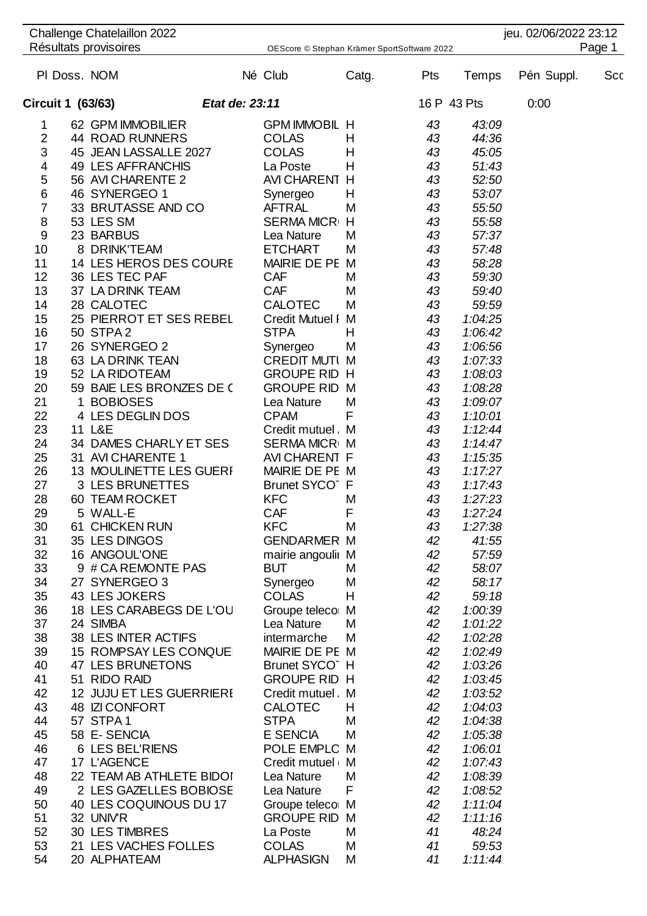| Challenge Chatelaillon 2022 |  |                          |  |                                             |       |     |             | jeu. 02/06/2022 23:12 |     |  |
|-----------------------------|--|--------------------------|--|---------------------------------------------|-------|-----|-------------|-----------------------|-----|--|
| Résultats provisoires       |  |                          |  | OEScore © Stephan Krämer SportSoftware 2022 |       |     |             | Page 1                |     |  |
|                             |  | PI Doss. NOM             |  | Né Club                                     | Catg. | Pts | Temps       | Pén Suppl.            | Scc |  |
| Circuit 1 (63/63)           |  | Etat de: 23:11           |  |                                             |       |     | 16 P 43 Pts | 0:00                  |     |  |
| 1                           |  | 62 GPM IMMOBILIER        |  | <b>GPM IMMOBIL H</b>                        |       | 43  | 43:09       |                       |     |  |
| 2                           |  | <b>44 ROAD RUNNERS</b>   |  | <b>COLAS</b>                                | Н     | 43  | 44:36       |                       |     |  |
| 3                           |  | 45 JEAN LASSALLE 2027    |  | <b>COLAS</b>                                | H     | 43  | 45:05       |                       |     |  |
| 4                           |  | 49 LES AFFRANCHIS        |  | La Poste                                    | Η     | 43  | 51:43       |                       |     |  |
| 5                           |  | 56 AVI CHARENTE 2        |  | AVI CHARENT H                               |       | 43  | 52:50       |                       |     |  |
| $\,$ 6 $\,$                 |  | 46 SYNERGEO 1            |  | Synergeo                                    | Н     | 43  | 53:07       |                       |     |  |
| $\overline{7}$              |  | 33 BRUTASSE AND CO       |  | <b>AFTRAL</b>                               | M     | 43  | 55:50       |                       |     |  |
| 8                           |  | 53 LES SM                |  | <b>SERMA MICR</b>                           | Η     | 43  | 55:58       |                       |     |  |
| 9                           |  | 23 BARBUS                |  | Lea Nature                                  | M     | 43  | 57:37       |                       |     |  |
| 10                          |  | 8 DRINK'TEAM             |  | <b>ETCHART</b>                              | M     | 43  | 57:48       |                       |     |  |
| 11                          |  | 14 LES HEROS DES COURE   |  | MAIRIE DE PE M                              |       | 43  | 58:28       |                       |     |  |
| 12                          |  | 36 LES TEC PAF           |  | <b>CAF</b>                                  | M     | 43  | 59:30       |                       |     |  |
| 13                          |  | 37 LA DRINK TEAM         |  | <b>CAF</b>                                  | M     | 43  | 59:40       |                       |     |  |
| 14                          |  | 28 CALOTEC               |  | <b>CALOTEC</b>                              | M     | 43  | 59:59       |                       |     |  |
| 15                          |  | 25 PIERROT ET SES REBEL  |  | <b>Credit Mutuel I</b>                      | M     | 43  | 1:04:25     |                       |     |  |
| 16                          |  | 50 STPA 2                |  | <b>STPA</b>                                 | н     | 43  | 1:06:42     |                       |     |  |
| 17                          |  | 26 SYNERGEO 2            |  | Synergeo                                    | M     | 43  | 1:06:56     |                       |     |  |
| 18                          |  | 63 LA DRINK TEAN         |  | <b>CREDIT MUTI M</b>                        |       | 43  | 1:07:33     |                       |     |  |
| 19                          |  | 52 LA RIDOTEAM           |  | <b>GROUPE RID H</b>                         |       | 43  | 1:08:03     |                       |     |  |
| 20                          |  | 59 BAIE LES BRONZES DE C |  | <b>GROUPE RID M</b>                         |       | 43  | 1:08:28     |                       |     |  |
| 21                          |  | 1 BOBIOSES               |  | Lea Nature                                  | M     | 43  | 1:09:07     |                       |     |  |
| 22                          |  | 4 LES DEGLIN DOS         |  | <b>CPAM</b>                                 | F     | 43  | 1:10:01     |                       |     |  |
| 23                          |  | 11 L&E                   |  | Credit mutuel M                             |       | 43  | 1:12:44     |                       |     |  |
| 24                          |  | 34 DAMES CHARLY ET SES   |  | SERMA MICRIM                                |       | 43  | 1:14:47     |                       |     |  |
| 25                          |  | 31 AVI CHARENTE 1        |  | AVI CHARENT F                               |       | 43  | 1:15:35     |                       |     |  |
| 26                          |  | 13 MOULINETTE LES GUERF  |  | MAIRIE DE PE M                              |       | 43  | 1:17:27     |                       |     |  |
| 27                          |  | 3 LES BRUNETTES          |  | Brunet SYCO <sup>-</sup> F                  |       | 43  | 1:17:43     |                       |     |  |
| 28                          |  | 60 TEAM ROCKET           |  | <b>KFC</b>                                  | M     | 43  | 1:27:23     |                       |     |  |
| 29                          |  | 5 WALL-E                 |  | CAF                                         | F     | 43  | 1:27:24     |                       |     |  |
| 30                          |  | 61 CHICKEN RUN           |  | <b>KFC</b>                                  | M     | 43  | 1:27:38     |                       |     |  |
| 31                          |  | 35 LES DINGOS            |  | <b>GENDARMER M</b>                          |       | 42  | 41:55       |                       |     |  |
| 32                          |  | 16 ANGOUL'ONE            |  | mairie angoulii M                           |       | 42  | 57:59       |                       |     |  |
| 33                          |  | 9 # CA REMONTE PAS       |  | <b>BUT</b>                                  | M     | 42  | 58:07       |                       |     |  |
| 34                          |  | 27 SYNERGEO 3            |  | Synergeo                                    | M     | 42  | 58:17       |                       |     |  |
| 35                          |  | 43 LES JOKERS            |  | <b>COLAS</b>                                | Η     | 42  | 59:18       |                       |     |  |
| 36                          |  | 18 LES CARABEGS DE L'OU  |  | Groupe teleco M                             |       | 42  | 1:00:39     |                       |     |  |
| 37                          |  | 24 SIMBA                 |  | Lea Nature                                  | M     | 42  | 1:01:22     |                       |     |  |
| 38                          |  | 38 LES INTER ACTIFS      |  | intermarche                                 | M     | 42  | 1:02:28     |                       |     |  |
| 39                          |  | 15 ROMPSAY LES CONQUE    |  | MAIRIE DE PE M                              |       | 42  | 1:02:49     |                       |     |  |
| 40                          |  | 47 LES BRUNETONS         |  | Brunet SYCO <sup>-</sup> H                  |       | 42  | 1:03:26     |                       |     |  |
| 41                          |  | 51 RIDO RAID             |  | <b>GROUPE RID H</b>                         |       | 42  | 1:03:45     |                       |     |  |
| 42                          |  | 12 JUJU ET LES GUERRIERE |  | Credit mutuel M                             |       | 42  | 1:03:52     |                       |     |  |
| 43                          |  | 48 ZI CONFORT            |  | <b>CALOTEC</b>                              | Н     | 42  | 1:04:03     |                       |     |  |
| 44                          |  | 57 STPA 1                |  | <b>STPA</b>                                 | M     | 42  | 1:04:38     |                       |     |  |
| 45                          |  | 58 E-SENCIA              |  | E SENCIA                                    | M     | 42  | 1:05:38     |                       |     |  |
| 46                          |  | 6 LES BEL'RIENS          |  | POLE EMPLO M                                |       | 42  | 1:06:01     |                       |     |  |
| 47                          |  | 17 L'AGENCE              |  | Credit mutuel M                             |       | 42  | 1:07:43     |                       |     |  |
| 48                          |  | 22 TEAM AB ATHLETE BIDOI |  | Lea Nature                                  | M     | 42  | 1:08:39     |                       |     |  |
| 49                          |  | 2 LES GAZELLES BOBIOSE   |  | Lea Nature                                  | F     | 42  | 1:08:52     |                       |     |  |
| 50                          |  | 40 LES COQUINOUS DU 17   |  | Groupe teleco M                             |       | 42  | 1:11:04     |                       |     |  |
| 51                          |  | 32 UNIV'R                |  | <b>GROUPE RID M</b>                         |       | 42  | 1:11:16     |                       |     |  |
| 52                          |  | <b>30 LES TIMBRES</b>    |  | La Poste                                    | M     | 41  | 48:24       |                       |     |  |
| 53                          |  | 21 LES VACHES FOLLES     |  | <b>COLAS</b>                                | M     | 41  | 59:53       |                       |     |  |
| 54                          |  | 20 ALPHATEAM             |  | <b>ALPHASIGN</b>                            | M     | 41  | 1:11:44     |                       |     |  |